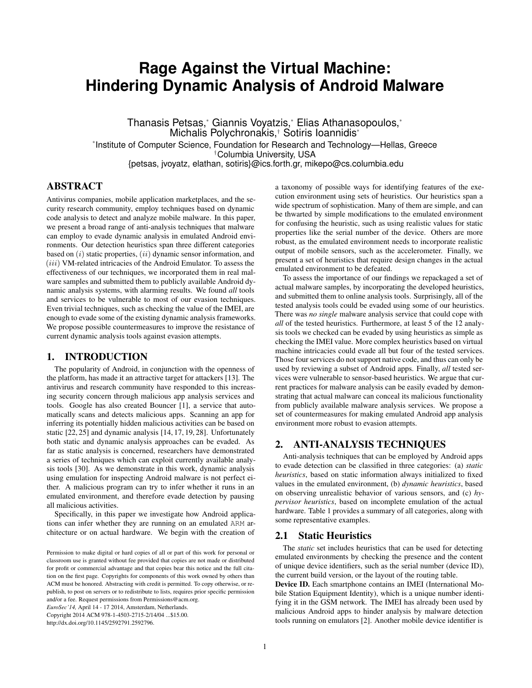# **Rage Against the Virtual Machine: Hindering Dynamic Analysis of Android Malware**

Thanasis Petsas,\* Giannis Voyatzis,\* Elias Athanasopoulos,\* Michalis Polychronakis,† Sotiris Ioannidis\* \* Institute of Computer Science, Foundation for Research and Technology—Hellas, Greece †Columbia University, USA {petsas, jvoyatz, elathan, sotiris}@ics.forth.gr, mikepo@cs.columbia.edu

# ABSTRACT

Antivirus companies, mobile application marketplaces, and the security research community, employ techniques based on dynamic code analysis to detect and analyze mobile malware. In this paper, we present a broad range of anti-analysis techniques that malware can employ to evade dynamic analysis in emulated Android environments. Our detection heuristics span three different categories based on (*i*) static properties, (*ii*) dynamic sensor information, and (*iii*) VM-related intricacies of the Android Emulator. To assess the effectiveness of our techniques, we incorporated them in real malware samples and submitted them to publicly available Android dynamic analysis systems, with alarming results. We found *all* tools and services to be vulnerable to most of our evasion techniques. Even trivial techniques, such as checking the value of the IMEI, are enough to evade some of the existing dynamic analysis frameworks. We propose possible countermeasures to improve the resistance of current dynamic analysis tools against evasion attempts.

# 1. INTRODUCTION

The popularity of Android, in conjunction with the openness of the platform, has made it an attractive target for attackers [\[13\]](#page-5-0). The antivirus and research community have responded to this increasing security concern through malicious app analysis services and tools. Google has also created Bouncer [\[1\]](#page-5-1), a service that automatically scans and detects malicious apps. Scanning an app for inferring its potentially hidden malicious activities can be based on static [\[22,](#page-5-2) [25\]](#page-5-3) and dynamic analysis [\[14,](#page-5-4) [17,](#page-5-5) [19,](#page-5-6) [28\]](#page-5-7). Unfortunately both static and dynamic analysis approaches can be evaded. As far as static analysis is concerned, researchers have demonstrated a series of techniques which can exploit currently available analysis tools [\[30\]](#page-5-8). As we demonstrate in this work, dynamic analysis using emulation for inspecting Android malware is not perfect either. A malicious program can try to infer whether it runs in an emulated environment, and therefore evade detection by pausing all malicious activities.

Specifically, in this paper we investigate how Android applications can infer whether they are running on an emulated ARM architecture or on actual hardware. We begin with the creation of

*EuroSec'14,* April 14 - 17 2014, Amsterdam, Netherlands. Copyright 2014 ACM 978-1-4503-2715-2/14/04 ...\$15.00.

http://dx.doi.org/10.1145/2592791.2592796.

a taxonomy of possible ways for identifying features of the execution environment using sets of heuristics. Our heuristics span a wide spectrum of sophistication. Many of them are simple, and can be thwarted by simple modifications to the emulated environment for confusing the heuristic, such as using realistic values for static properties like the serial number of the device. Others are more robust, as the emulated environment needs to incorporate realistic output of mobile sensors, such as the accelerometer. Finally, we present a set of heuristics that require design changes in the actual emulated environment to be defeated.

To assess the importance of our findings we repackaged a set of actual malware samples, by incorporating the developed heuristics, and submitted them to online analysis tools. Surprisingly, all of the tested analysis tools could be evaded using some of our heuristics. There was *no single* malware analysis service that could cope with *all* of the tested heuristics. Furthermore, at least 5 of the 12 analysis tools we checked can be evaded by using heuristics as simple as checking the IMEI value. More complex heuristics based on virtual machine intricacies could evade all but four of the tested services. Those four services do not support native code, and thus can only be used by reviewing a subset of Android apps. Finally, *all* tested services were vulnerable to sensor-based heuristics. We argue that current practices for malware analysis can be easily evaded by demonstrating that actual malware can conceal its malicious functionality from publicly available malware analysis services. We propose a set of countermeasures for making emulated Android app analysis environment more robust to evasion attempts.

# <span id="page-0-0"></span>2. ANTI-ANALYSIS TECHNIQUES

Anti-analysis techniques that can be employed by Android apps to evade detection can be classified in three categories: (a) *static heuristics*, based on static information always initialized to fixed values in the emulated environment, (b) *dynamic heuristics*, based on observing unrealistic behavior of various sensors, and (c) *hypervisor heuristics*, based on incomplete emulation of the actual hardware. Table [1](#page-1-0) provides a summary of all categories, along with some representative examples.

# 2.1 Static Heuristics

The *static* set includes heuristics that can be used for detecting emulated environments by checking the presence and the content of unique device identifiers, such as the serial number (device ID), the current build version, or the layout of the routing table.

Device ID. Each smartphone contains an IMEI (International Mobile Station Equipment Identity), which is a unique number identifying it in the GSM network. The IMEI has already been used by malicious Android apps to hinder analysis by malware detection tools running on emulators [\[2\]](#page-5-9). Another mobile device identifier is

Permission to make digital or hard copies of all or part of this work for personal or classroom use is granted without fee provided that copies are not made or distributed for profit or commercial advantage and that copies bear this notice and the full citation on the first page. Copyrights for components of this work owned by others than ACM must be honored. Abstracting with credit is permitted. To copy otherwise, or republish, to post on servers or to redistribute to lists, requires prior specific permission and/or a fee. Request permissions from Permissions@acm.org.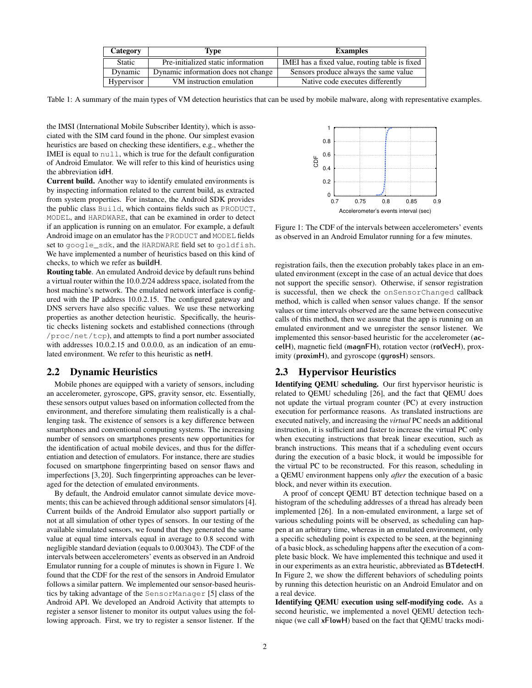<span id="page-1-0"></span>

| Category      | Type                                | <b>Examples</b>                                |
|---------------|-------------------------------------|------------------------------------------------|
| <b>Static</b> | Pre-initialized static information  | IMEI has a fixed value, routing table is fixed |
| Dynamic       | Dynamic information does not change | Sensors produce always the same value          |
| Hypervisor    | VM instruction emulation            | Native code executes differently               |

Table 1: A summary of the main types of VM detection heuristics that can be used by mobile malware, along with representative examples.

the IMSI (International Mobile Subscriber Identity), which is associated with the SIM card found in the phone. Our simplest evasion heuristics are based on checking these identifiers, e.g., whether the IMEI is equal to null, which is true for the default configuration of Android Emulator. We will refer to this kind of heuristics using the abbreviation **idH**.

Current build. Another way to identify emulated environments is by inspecting information related to the current build, as extracted from system properties. For instance, the Android SDK provides the public class Build, which contains fields such as PRODUCT, MODEL, and HARDWARE, that can be examined in order to detect if an application is running on an emulator. For example, a default Android image on an emulator has the PRODUCT and MODEL fields set to google\_sdk, and the HARDWARE field set to goldfish. We have implemented a number of heuristics based on this kind of checks, to which we refer as **buildH**.

Routing table. An emulated Android device by default runs behind a virtual router within the 10.0.2/24 address space, isolated from the host machine's network. The emulated network interface is configured with the IP address 10.0.2.15. The configured gateway and DNS servers have also specific values. We use these networking properties as another detection heuristic. Specifically, the heuristic checks listening sockets and established connections (through /proc/net/tcp), and attempts to find a port number associated with addresses 10.0.2.15 and 0.0.0.0, as an indication of an emulated environment. We refer to this heuristic as **netH**.

## 2.2 Dynamic Heuristics

Mobile phones are equipped with a variety of sensors, including an accelerometer, gyroscope, GPS, gravity sensor, etc. Essentially, these sensors output values based on information collected from the environment, and therefore simulating them realistically is a challenging task. The existence of sensors is a key difference between smartphones and conventional computing systems. The increasing number of sensors on smartphones presents new opportunities for the identification of actual mobile devices, and thus for the differentiation and detection of emulators. For instance, there are studies focused on smartphone fingerprinting based on sensor flaws and imperfections [\[3,](#page-5-10) [20\]](#page-5-11). Such fingerprinting approaches can be leveraged for the detection of emulated environments.

By default, the Android emulator cannot simulate device movements; this can be achieved through additional sensor simulators [\[4\]](#page-5-12). Current builds of the Android Emulator also support partially or not at all simulation of other types of sensors. In our testing of the available simulated sensors, we found that they generated the same value at equal time intervals equal in average to 0.8 second with negligible standard deviation (equals to 0.003043). The CDF of the intervals between accelerometers' events as observed in an Android Emulator running for a couple of minutes is shown in Figure [1.](#page-1-1) We found that the CDF for the rest of the sensors in Android Emulator follows a similar pattern. We implemented our sensor-based heuristics by taking advantage of the SensorManager [\[5\]](#page-5-13) class of the Android API. We developed an Android Activity that attempts to register a sensor listener to monitor its output values using the following approach. First, we try to register a sensor listener. If the

<span id="page-1-1"></span>

Figure 1: The CDF of the intervals between accelerometers' events as observed in an Android Emulator running for a few minutes.

registration fails, then the execution probably takes place in an emulated environment (except in the case of an actual device that does not support the specific sensor). Otherwise, if sensor registration is successful, then we check the onSensorChanged callback method, which is called when sensor values change. If the sensor values or time intervals observed are the same between consecutive calls of this method, then we assume that the app is running on an emulated environment and we unregister the sensor listener. We implemented this sensor-based heuristic for the accelerometer (**accelH**), magnetic field (**magnFH**), rotation vector (**rotVecH**), proximity (**proximH**), and gyroscope (**qurosH**) sensors.

# 2.3 Hypervisor Heuristics

Identifying QEMU scheduling. Our first hypervisor heuristic is related to QEMU scheduling [\[26\]](#page-5-14), and the fact that QEMU does not update the virtual program counter (PC) at every instruction execution for performance reasons. As translated instructions are executed natively, and increasing the *virtual* PC needs an additional instruction, it is sufficient and faster to increase the virtual PC only when executing instructions that break linear execution, such as branch instructions. This means that if a scheduling event occurs during the execution of a basic block, it would be impossible for the virtual PC to be reconstructed. For this reason, scheduling in a QEMU environment happens only *after* the execution of a basic block, and never within its execution.

A proof of concept QEMU BT detection technique based on a histogram of the scheduling addresses of a thread has already been implemented [\[26\]](#page-5-14). In a non-emulated environment, a large set of various scheduling points will be observed, as scheduling can happen at an arbitrary time, whereas in an emulated environment, only a specific scheduling point is expected to be seen, at the beginning of a basic block, as scheduling happens after the execution of a complete basic block. We have implemented this technique and used it in our experiments as an extra heuristic, abbreviated as **BTdetectH**. In Figure [2,](#page-2-0) we show the different behaviors of scheduling points by running this detection heuristic on an Android Emulator and on a real device.

Identifying QEMU execution using self-modifying code. As a second heuristic, we implemented a novel QEMU detection technique (we call **xFlowH**) based on the fact that QEMU tracks modi-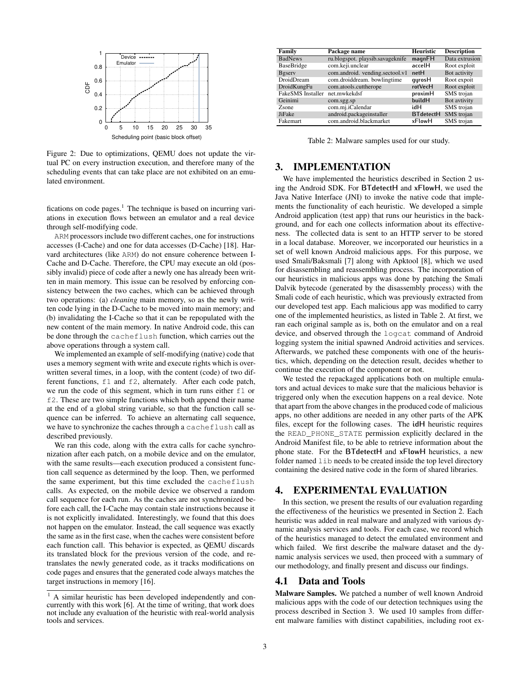<span id="page-2-0"></span>

Figure 2: Due to optimizations, QEMU does not update the virtual PC on every instruction execution, and therefore many of the scheduling events that can take place are not exhibited on an emulated environment.

fications on code pages. $<sup>1</sup>$  $<sup>1</sup>$  $<sup>1</sup>$  The technique is based on incurring vari-</sup> ations in execution flows between an emulator and a real device through self-modifying code.

ARM processors include two different caches, one for instructions accesses (I-Cache) and one for data accesses (D-Cache) [\[18\]](#page-5-15). Harvard architectures (like ARM) do not ensure coherence between I-Cache and D-Cache. Therefore, the CPU may execute an old (possibly invalid) piece of code after a newly one has already been written in main memory. This issue can be resolved by enforcing consistency between the two caches, which can be achieved through two operations: (a) *cleaning* main memory, so as the newly written code lying in the D-Cache to be moved into main memory; and (b) invalidating the I-Cache so that it can be repopulated with the new content of the main memory. In native Android code, this can be done through the cacheflush function, which carries out the above operations through a system call.

We implemented an example of self-modifying (native) code that uses a memory segment with write and execute rights which is overwritten several times, in a loop, with the content (code) of two different functions, f1 and f2, alternately. After each code patch, we run the code of this segment, which in turn runs either f1 or f2. These are two simple functions which both append their name at the end of a global string variable, so that the function call sequence can be inferred. To achieve an alternating call sequence, we have to synchronize the caches through a cacheflush call as described previously.

We ran this code, along with the extra calls for cache synchronization after each patch, on a mobile device and on the emulator, with the same results—each execution produced a consistent function call sequence as determined by the loop. Then, we performed the same experiment, but this time excluded the cacheflush calls. As expected, on the mobile device we observed a random call sequence for each run. As the caches are not synchronized before each call, the I-Cache may contain stale instructions because it is not explicitly invalidated. Interestingly, we found that this does not happen on the emulator. Instead, the call sequence was exactly the same as in the first case, when the caches were consistent before each function call. This behavior is expected, as QEMU discards its translated block for the previous version of the code, and retranslates the newly generated code, as it tracks modifications on code pages and ensures that the generated code always matches the target instructions in memory [\[16\]](#page-5-16).

<span id="page-2-2"></span>

| Family            | Package name                     | <b>Heuristic</b> | <b>Description</b> |
|-------------------|----------------------------------|------------------|--------------------|
| <b>BadNews</b>    | ru.blogspot. playsib.savageknife | magnFH           | Data extrusion     |
| <b>BaseBridge</b> | com.keji.unclear                 | accelH           | Root exploit       |
| <b>B</b> gserv    | com.android. vending.sectool.v1  | netH             | Bot activity       |
| DroidDream        | com.droiddream. bowlingtime      | qurosH           | Root expoit        |
| DroidKungFu       | com.atools.cuttherope            | rotVecH          | Root exploit       |
| FakeSMS Installer | net.mwkekdsf                     | proximH          | SMS trojan         |
| Geinimi           | com.sgg.sp                       | buildH           | Bot avtivity       |
| <b>Zsone</b>      | com.mj.iCalendar                 | idH              | SMS trojan         |
| JiFake            | android.packageinstaller         | <b>BTdetectH</b> | SMS trojan         |
| Fakemart          | com.android.blackmarket          | xFlowH           | SMS trojan         |

Table 2: Malware samples used for our study.

# <span id="page-2-3"></span>3. IMPLEMENTATION

We have implemented the heuristics described in Section [2](#page-0-0) using the Android SDK. For **BTdetectH** and **xFlowH**, we used the Java Native Interface (JNI) to invoke the native code that implements the functionality of each heuristic. We developed a simple Android application (test app) that runs our heuristics in the background, and for each one collects information about its effectiveness. The collected data is sent to an HTTP server to be stored in a local database. Moreover, we incorporated our heuristics in a set of well known Android malicious apps. For this purpose, we used Smali/Baksmali [\[7\]](#page-5-18) along with Apktool [\[8\]](#page-5-19), which we used for disassembling and reassembling process. The incorporation of our heuristics in malicious apps was done by patching the Smali Dalvik bytecode (generated by the disassembly process) with the Smali code of each heuristic, which was previously extracted from our developed test app. Each malicious app was modified to carry one of the implemented heuristics, as listed in Table [2.](#page-2-2) At first, we ran each original sample as is, both on the emulator and on a real device, and observed through the logcat command of Android logging system the initial spawned Android activities and services. Afterwards, we patched these components with one of the heuristics, which, depending on the detection result, decides whether to continue the execution of the component or not.

We tested the repackaged applications both on multiple emulators and actual devices to make sure that the malicious behavior is triggered only when the execution happens on a real device. Note that apart from the above changes in the produced code of malicious apps, no other additions are needed in any other parts of the APK files, except for the following cases. The **idH** heuristic requires the READ\_PHONE\_STATE permission explicitly declared in the Android Manifest file, to be able to retrieve information about the phone state. For the **BTdetectH** and **xFlowH** heuristics, a new folder named lib needs to be created inside the top level directory containing the desired native code in the form of shared libraries.

#### 4. EXPERIMENTAL EVALUATION

In this section, we present the results of our evaluation regarding the effectiveness of the heuristics we presented in Section [2.](#page-0-0) Each heuristic was added in real malware and analyzed with various dynamic analysis services and tools. For each case, we record which of the heuristics managed to detect the emulated environment and which failed. We first describe the malware dataset and the dynamic analysis services we used, then proceed with a summary of our methodology, and finally present and discuss our findings.

#### 4.1 Data and Tools

Malware Samples. We patched a number of well known Android malicious apps with the code of our detection techniques using the process described in Section [3.](#page-2-3) We used 10 samples from different malware families with distinct capabilities, including root ex-

<span id="page-2-1"></span><sup>&</sup>lt;sup>1</sup> A similar heuristic has been developed independently and concurrently with this work [\[6\]](#page-5-17). At the time of writing, that work does not include any evaluation of the heuristic with real-world analysis tools and services.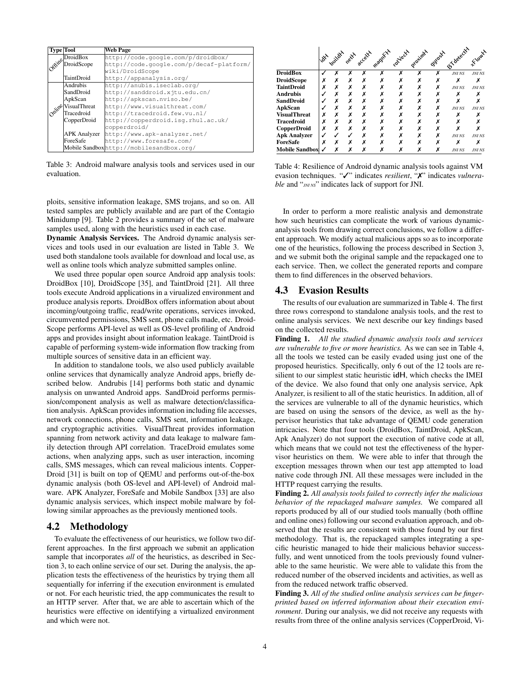<span id="page-3-0"></span>

| <b>Type Tool</b> |                                                                                                                                                                                                                                                                                                                                                                                                                                                                                         | <b>Web Page</b>                          |
|------------------|-----------------------------------------------------------------------------------------------------------------------------------------------------------------------------------------------------------------------------------------------------------------------------------------------------------------------------------------------------------------------------------------------------------------------------------------------------------------------------------------|------------------------------------------|
|                  | $\sqrt{\text{wV}}^{\text{p} \cdot \text{p} \cdot \text{p} \cdot \text{p} \cdot \text{p} \cdot \text{p} \cdot \text{p} \cdot \text{p} \cdot \text{p} \cdot \text{p} \cdot \text{p} \cdot \text{p} \cdot \text{p} \cdot \text{p} \cdot \text{p} \cdot \text{p} \cdot \text{p} \cdot \text{p} \cdot \text{p} \cdot \text{p} \cdot \text{p} \cdot \text{p} \cdot \text{p} \cdot \text{p} \cdot \text{p} \cdot \text{p} \cdot \text{p} \cdot \text{p} \cdot \text{p} \cdot \text{p} \cdot \$ | http://code.google.com/p/droidbox/       |
|                  | DroidScope                                                                                                                                                                                                                                                                                                                                                                                                                                                                              | http://code.google.com/p/decaf-platform/ |
|                  |                                                                                                                                                                                                                                                                                                                                                                                                                                                                                         | wiki/DroidScope                          |
|                  | TaintDroid                                                                                                                                                                                                                                                                                                                                                                                                                                                                              | http://appanalysis.org/                  |
|                  | Andrubis                                                                                                                                                                                                                                                                                                                                                                                                                                                                                | http://anubis.iseclab.org/               |
|                  | <b>SandDroid</b>                                                                                                                                                                                                                                                                                                                                                                                                                                                                        | http://sanddroid.xjtu.edu.cn/            |
|                  | ApkScan                                                                                                                                                                                                                                                                                                                                                                                                                                                                                 | http://apkscan.nviso.be/                 |
|                  | $\int_{\gamma}$ Visual Threat                                                                                                                                                                                                                                                                                                                                                                                                                                                           | http://www.visualthreat.com/             |
|                  | Tracedroid                                                                                                                                                                                                                                                                                                                                                                                                                                                                              | http://tracedroid.few.vu.nl/             |
|                  | CopperDroid                                                                                                                                                                                                                                                                                                                                                                                                                                                                             | http://copperdroid.isg.rhul.ac.uk/       |
|                  |                                                                                                                                                                                                                                                                                                                                                                                                                                                                                         | copperdroid/                             |
|                  | <b>APK</b> Analyzer                                                                                                                                                                                                                                                                                                                                                                                                                                                                     | http://www.apk-analyzer.net/             |
|                  | ForeSafe                                                                                                                                                                                                                                                                                                                                                                                                                                                                                | http://www.foresafe.com/                 |
|                  |                                                                                                                                                                                                                                                                                                                                                                                                                                                                                         | Mobile Sandboxhttp://mobilesandbox.org/  |

Table 3: Android malware analysis tools and services used in our evaluation.

<span id="page-3-1"></span>**idH buildx** nett<sup>X</sup> accelt<sup>X</sup> magnFLA **rot**Vect1 **proximity** autosth BT detect N **xFlowH** DroidBox ✓ ✗ ✗ ✗ ✗ ✗ ✗ ✗ *JNI NS JNI NS* DroidScope ✗ ✗ ✗ ✗ ✗ ✗ ✗ ✗ ✗ ✗ TaintDroid ✗ ✗ ✗ ✗ ✗ ✗ ✗ ✗ *JNI NS JNI NS* Andrubis │✓ *╳ × × × × × × × ×* × SandDroid ✓ ✗ ✗ ✗ ✗ ✗ ✗ ✗ ✗ ✗ ApkScan ✓ ✗ ✗ ✗ ✗ ✗ ✗ ✗ *JNI NS JNI NS* VisualThreat *x x x x x x x x x*<br>Tracedroid *x x x x x x x x x x*<br>CopperDroid *x x x x x x x x x x x* Tracedroid X *x x x x x x x x x*<br>CopperDroid X *x x x x x x x x x* CopperDroid | *x x x x x x x x*<br>Apk Analyzer | ∠ ∠ ∠ *x x x x x* x Apk Analyzer | ✓ ✓ ✓ *メ ヾ ヾ ヾ ヾ ヾ ヾ ヾ ヾ ヾ* ヾ *ヾ* ForeSafe ✗ ✗ ✗ ✗ ✗ ✗ ✗ ✗ ✗ ✗ Mobile Sandbox ✓ ✗ ✗ ✗ ✗ ✗ ✗ ✗ *JNI NS JNI NS*

Table 4: Resilience of Android dynamic analysis tools against VM evasion techniques. "✓" indicates *resilient*, "✗" indicates *vulnerable* and "*JNI NS*" indicates lack of support for JNI.

ploits, sensitive information leakage, SMS trojans, and so on. All tested samples are publicly available and are part of the Contagio Minidump [\[9\]](#page-5-20). Table [2](#page-2-2) provides a summary of the set of malware samples used, along with the heuristics used in each case.

Dynamic Analysis Services. The Android dynamic analysis services and tools used in our evaluation are listed in Table [3.](#page-3-0) We used both standalone tools available for download and local use, as well as online tools which analyze submitted samples online.

We used three popular open source Android app analysis tools: DroidBox [\[10\]](#page-5-21), DroidScope [\[35\]](#page-5-22), and TaintDroid [\[21\]](#page-5-23). All three tools execute Android applications in a virualized environment and produce analysis reports. DroidBox offers information about about incoming/outgoing traffic, read/write operations, services invoked, circumvented permissions, SMS sent, phone calls made, etc. Droid-Scope performs API-level as well as OS-level profiling of Android apps and provides insight about information leakage. TaintDroid is capable of performing system-wide information flow tracking from multiple sources of sensitive data in an efficient way.

In addition to standalone tools, we also used publicly available online services that dynamically analyze Android apps, briefly described below. Andrubis [\[14\]](#page-5-4) performs both static and dynamic analysis on unwanted Android apps. SandDroid performs permission/component analysis as well as malware detection/classification analysis. ApkScan provides information including file accesses, network connections, phone calls, SMS sent, information leakage, and cryptographic activities. VisualThreat provides information spanning from network activity and data leakage to malware family detection through API correlation. TraceDroid emulates some actions, when analyzing apps, such as user interaction, incoming calls, SMS messages, which can reveal malicious intents. Copper-Droid [\[31\]](#page-5-24) is built on top of QEMU and performs out-of-the-box dynamic analysis (both OS-level and API-level) of Android malware. APK Analyzer, ForeSafe and Mobile Sandbox [\[33\]](#page-5-25) are also dynamic analysis services, which inspect mobile malware by following similar approaches as the previously mentioned tools.

#### 4.2 Methodology

To evaluate the effectiveness of our heuristics, we follow two different approaches. In the first approach we submit an application sample that incorporates *all* of the heuristics, as described in Section [3,](#page-2-3) to each online service of our set. During the analysis, the application tests the effectiveness of the heuristics by trying them all sequentially for inferring if the execution environment is emulated or not. For each heuristic tried, the app communicates the result to an HTTP server. After that, we are able to ascertain which of the heuristics were effective on identifying a virtualized environment and which were not.

In order to perform a more realistic analysis and demonstrate how such heuristics can complicate the work of various dynamicanalysis tools from drawing correct conclusions, we follow a different approach. We modify actual malicious apps so as to incorporate one of the heuristics, following the process described in Section [3,](#page-2-3) and we submit both the original sample and the repackaged one to each service. Then, we collect the generated reports and compare them to find differences in the observed behaviors.

# 4.3 Evasion Results

The results of our evaluation are summarized in Table [4.](#page-3-1) The first three rows correspond to standalone analysis tools, and the rest to online analysis services. We next describe our key findings based on the collected results.

Finding 1. *All the studied dynamic analysis tools and services are vulnerable to five or more heuristics.* As we can see in Table [4,](#page-3-1) all the tools we tested can be easily evaded using just one of the proposed heuristics. Specifically, only 6 out of the 12 tools are resilient to our simplest static heuristic **idH**, which checks the IMEI of the device. We also found that only one analysis service, Apk Analyzer, is resilient to all of the static heuristics. In addition, all of the services are vulnerable to all of the dynamic heuristics, which are based on using the sensors of the device, as well as the hypervisor heuristics that take advantage of QEMU code generation intricacies. Note that four tools (DroidBox, TaintDroid, ApkScan, Apk Analyzer) do not support the execution of native code at all, which means that we could not test the effectiveness of the hypervisor heuristics on them. We were able to infer that through the exception messages thrown when our test app attempted to load native code through JNI. All these messages were included in the HTTP request carrying the results.

Finding 2. *All analysis tools failed to correctly infer the malicious behavior of the repackaged malware samples.* We compared all reports produced by all of our studied tools manually (both offline and online ones) following our second evaluation approach, and observed that the results are consistent with those found by our first methodology. That is, the repackaged samples integrating a specific heuristic managed to hide their malicious behavior successfully, and went unnoticed from the tools previously found vulnerable to the same heuristic. We were able to validate this from the reduced number of the observed incidents and activities, as well as from the reduced network traffic observed.

Finding 3. *All of the studied online analysis services can be fingerprinted based on inferred information about their execution environment*. During our analysis, we did not receive any requests with results from three of the online analysis services (CopperDroid, Vi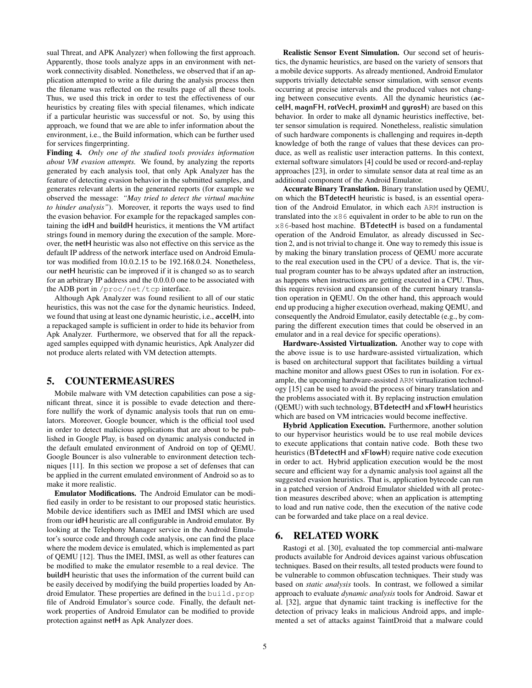sual Threat, and APK Analyzer) when following the first approach. Apparently, those tools analyze apps in an environment with network connectivity disabled. Nonetheless, we observed that if an application attempted to write a file during the analysis process then the filename was reflected on the results page of all these tools. Thus, we used this trick in order to test the effectiveness of our heuristics by creating files with special filenames, which indicate if a particular heuristic was successful or not. So, by using this approach, we found that we are able to infer information about the environment, i.e., the Build information, which can be further used for services fingerprinting.

Finding 4. *Only one of the studied tools provides information about VM evasion attempts.* We found, by analyzing the reports generated by each analysis tool, that only Apk Analyzer has the feature of detecting evasion behavior in the submitted samples, and generates relevant alerts in the generated reports (for example we observed the message: *"May tried to detect the virtual machine to hinder analysis"*). Moreover, it reports the ways used to find the evasion behavior. For example for the repackaged samples containing the **idH** and **buildH** heuristics, it mentions the VM artifact strings found in memory during the execution of the sample. Moreover, the **netH** heuristic was also not effective on this service as the default IP address of the network interface used on Android Emulator was modified from 10.0.2.15 to be 192.168.0.24. Nonetheless, our **netH** heuristic can be improved if it is changed so as to search for an arbitrary IP address and the 0.0.0.0 one to be associated with the ADB port in /proc/net/tcp interface.

Although Apk Analyzer was found resilient to all of our static heuristics, this was not the case for the dynamic heuristics. Indeed, we found that using at least one dynamic heuristic, i.e., **accelH**, into a repackaged sample is sufficient in order to hide its behavior from Apk Analyzer. Furthermore, we observed that for all the repackaged samples equipped with dynamic heuristics, Apk Analyzer did not produce alerts related with VM detection attempts.

# 5. COUNTERMEASURES

Mobile malware with VM detection capabilities can pose a significant threat, since it is possible to evade detection and therefore nullify the work of dynamic analysis tools that run on emulators. Moreover, Google bouncer, which is the official tool used in order to detect malicious applications that are about to be published in Google Play, is based on dynamic analysis conducted in the default emulated environment of Android on top of QEMU. Google Bouncer is also vulnerable to environment detection techniques [\[11\]](#page-5-26). In this section we propose a set of defenses that can be applied in the current emulated environment of Android so as to make it more realistic.

Emulator Modifications. The Android Emulator can be modified easily in order to be resistant to our proposed static heuristics. Mobile device identifiers such as IMEI and IMSI which are used from our **idH** heuristic are all configurable in Android emulator. By looking at the Telephony Manager service in the Android Emulator's source code and through code analysis, one can find the place where the modem device is emulated, which is implemented as part of QEMU [\[12\]](#page-5-27). Thus the IMEI, IMSI, as well as other features can be modified to make the emulator resemble to a real device. The **buildH** heuristic that uses the information of the current build can be easily deceived by modifying the build properties loaded by Android Emulator. These properties are defined in the build.prop file of Android Emulator's source code. Finally, the default network properties of Android Emulator can be modified to provide protection against **netH** as Apk Analyzer does.

Realistic Sensor Event Simulation. Our second set of heuristics, the dynamic heuristics, are based on the variety of sensors that a mobile device supports. As already mentioned, Android Emulator supports trivially detectable sensor simulation, with sensor events occurring at precise intervals and the produced values not changing between consecutive events. All the dynamic heuristics (**accelH**, **magnFH**, **rotVecH**, **proximH** and **gyrosH**) are based on this behavior. In order to make all dynamic heuristics ineffective, better sensor simulation is required. Nonetheless, realistic simulation of such hardware components is challenging and requires in-depth knowledge of both the range of values that these devices can produce, as well as realistic user interaction patterns. In this context, external software simulators [\[4\]](#page-5-12) could be used or record-and-replay approaches [\[23\]](#page-5-28), in order to simulate sensor data at real time as an additional component of the Android Emulator.

Accurate Binary Translation. Binary translation used by QEMU, on which the **BTdetectH** heuristic is based, is an essential operation of the Android Emulator, in which each ARM instruction is translated into the x86 equivalent in order to be able to run on the x86-based host machine. **BTdetectH** is based on a fundamental operation of the Android Emulator, as already discussed in Section [2,](#page-0-0) and is not trivial to change it. One way to remedy this issue is by making the binary translation process of QEMU more accurate to the real execution used in the CPU of a device. That is, the virtual program counter has to be always updated after an instruction, as happens when instructions are getting executed in a CPU. Thus, this requires revision and expansion of the current binary translation operation in QEMU. On the other hand, this approach would end up producing a higher execution overhead, making QEMU, and consequently the Android Emulator, easily detectable (e.g., by comparing the different execution times that could be observed in an emulator and in a real device for specific operations).

Hardware-Assisted Virtualization. Another way to cope with the above issue is to use hardware-assisted virtualization, which is based on architectural support that facilitates building a virtual machine monitor and allows guest OSes to run in isolation. For example, the upcoming hardware-assisted ARM virtualization technology [\[15\]](#page-5-29) can be used to avoid the process of binary translation and the problems associated with it. By replacing instruction emulation (QEMU) with such technology, **BTdetectH** and **xFlowH** heuristics which are based on VM intricacies would become ineffective.

Hybrid Application Execution. Furthermore, another solution to our hypervisor heuristics would be to use real mobile devices to execute applications that contain native code. Both these two heuristics (**BTdetectH** and **xFlowH**) require native code execution in order to act. Hybrid application execution would be the most secure and efficient way for a dynamic analysis tool against all the suggested evasion heuristics. That is, application bytecode can run in a patched version of Android Emulator shielded with all protection measures described above; when an application is attempting to load and run native code, then the execution of the native code can be forwarded and take place on a real device.

# 6. RELATED WORK

Rastogi et al. [\[30\]](#page-5-8), evaluated the top commercial anti-malware products available for Android devices against various obfuscation techniques. Based on their results, all tested products were found to be vulnerable to common obfuscation techniques. Their study was based on *static analysis* tools. In contrast, we followed a similar approach to evaluate *dynamic analysis* tools for Android. Sawar et al. [\[32\]](#page-5-30), argue that dynamic taint tracking is ineffective for the detection of privacy leaks in malicious Android apps, and implemented a set of attacks against TaintDroid that a malware could